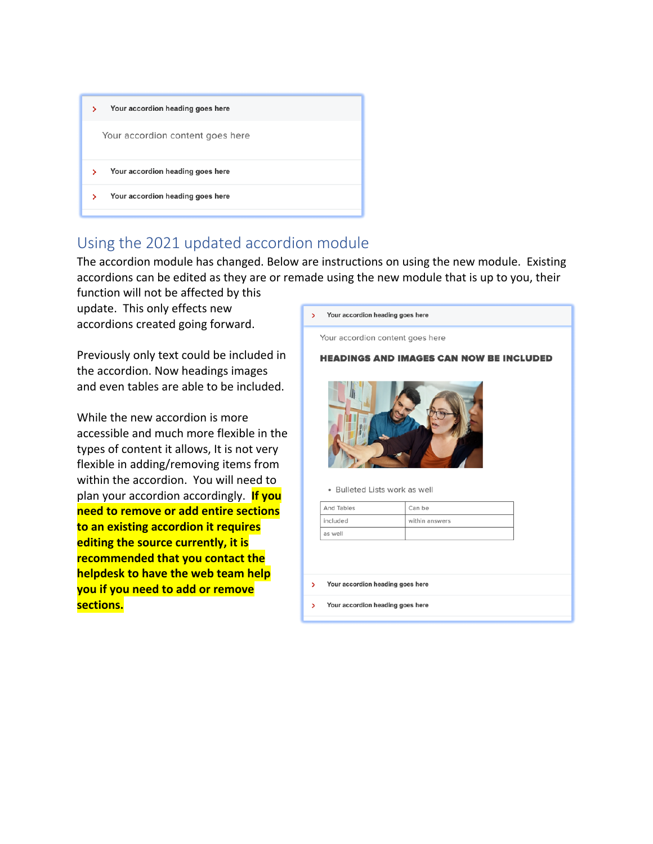| Your accordion heading goes here<br>Y. |  |  |  |  |
|----------------------------------------|--|--|--|--|
| Your accordion content goes here       |  |  |  |  |
| Your accordion heading goes here<br>У  |  |  |  |  |
| Your accordion heading goes here<br>>  |  |  |  |  |

## Using the 2021 updated accordion module

The accordion module has changed. Below are instructions on using the new module. Existing accordions can be edited as they are or remade using the new module that is up to you, their function will not be affected by this

update. This only effects new accordions created going forward.

Previously only text could be included in the accordion. Now headings images and even tables are able to be included.

While the new accordion is more accessible and much more flexible in the types of content it allows, It is not very flexible in adding/removing items from within the accordion. You will need to plan your accordion accordingly. **If you need to remove or add entire sections to an existing accordion it requires editing the source currently, it is recommended that you contact the helpdesk to have the web team help you if you need to add or remove sections.**